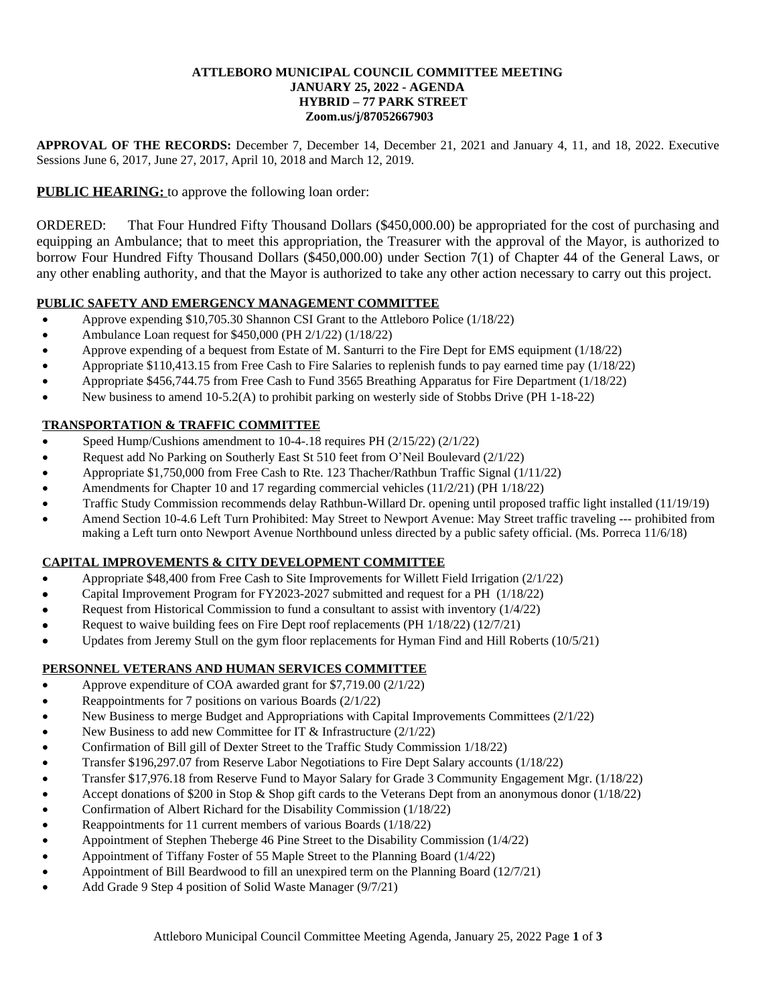#### **ATTLEBORO MUNICIPAL COUNCIL COMMITTEE MEETING JANUARY 25, 2022 - AGENDA HYBRID – 77 PARK STREET Zoom.us/j/87052667903**

**APPROVAL OF THE RECORDS:** December 7, December 14, December 21, 2021 and January 4, 11, and 18, 2022. Executive Sessions June 6, 2017, June 27, 2017, April 10, 2018 and March 12, 2019.

# **PUBLIC HEARING:** to approve the following loan order:

ORDERED: That Four Hundred Fifty Thousand Dollars (\$450,000.00) be appropriated for the cost of purchasing and equipping an Ambulance; that to meet this appropriation, the Treasurer with the approval of the Mayor, is authorized to borrow Four Hundred Fifty Thousand Dollars (\$450,000.00) under Section 7(1) of Chapter 44 of the General Laws, or any other enabling authority, and that the Mayor is authorized to take any other action necessary to carry out this project.

## **PUBLIC SAFETY AND EMERGENCY MANAGEMENT COMMITTEE**

- Approve expending \$10,705.30 Shannon CSI Grant to the Attleboro Police (1/18/22)
- Ambulance Loan request for \$450,000 (PH 2/1/22) (1/18/22)
- Approve expending of a bequest from Estate of M. Santurri to the Fire Dept for EMS equipment (1/18/22)
- Appropriate \$110,413.15 from Free Cash to Fire Salaries to replenish funds to pay earned time pay (1/18/22)
- Appropriate \$456,744.75 from Free Cash to Fund 3565 Breathing Apparatus for Fire Department (1/18/22)
- New business to amend 10-5.2(A) to prohibit parking on westerly side of Stobbs Drive (PH 1-18-22)

## **TRANSPORTATION & TRAFFIC COMMITTEE**

- Speed Hump/Cushions amendment to 10-4-.18 requires PH (2/15/22) (2/1/22)
- Request add No Parking on Southerly East St 510 feet from O'Neil Boulevard (2/1/22)
- Appropriate \$1,750,000 from Free Cash to Rte. 123 Thacher/Rathbun Traffic Signal (1/11/22)
- Amendments for Chapter 10 and 17 regarding commercial vehicles (11/2/21) (PH 1/18/22)
- Traffic Study Commission recommends delay Rathbun-Willard Dr. opening until proposed traffic light installed (11/19/19)
- Amend Section 10-4.6 Left Turn Prohibited: May Street to Newport Avenue: May Street traffic traveling --- prohibited from making a Left turn onto Newport Avenue Northbound unless directed by a public safety official. (Ms. Porreca 11/6/18)

## **CAPITAL IMPROVEMENTS & CITY DEVELOPMENT COMMITTEE**

- Appropriate \$48,400 from Free Cash to Site Improvements for Willett Field Irrigation (2/1/22)
- Capital Improvement Program for FY2023-2027 submitted and request for a PH (1/18/22)
- Request from Historical Commission to fund a consultant to assist with inventory  $(1/4/22)$
- Request to waive building fees on Fire Dept roof replacements (PH 1/18/22) (12/7/21)
- Updates from Jeremy Stull on the gym floor replacements for Hyman Find and Hill Roberts (10/5/21)

## **PERSONNEL VETERANS AND HUMAN SERVICES COMMITTEE**

- Approve expenditure of COA awarded grant for \$7,719.00 (2/1/22)
- Reappointments for 7 positions on various Boards (2/1/22)
- New Business to merge Budget and Appropriations with Capital Improvements Committees (2/1/22)
- New Business to add new Committee for IT & Infrastructure (2/1/22)
- Confirmation of Bill gill of Dexter Street to the Traffic Study Commission 1/18/22)
- Transfer \$196,297.07 from Reserve Labor Negotiations to Fire Dept Salary accounts (1/18/22)
- Transfer \$17,976.18 from Reserve Fund to Mayor Salary for Grade 3 Community Engagement Mgr. (1/18/22)
- Accept donations of \$200 in Stop & Shop gift cards to the Veterans Dept from an anonymous donor (1/18/22)
- Confirmation of Albert Richard for the Disability Commission (1/18/22)
- Reappointments for 11 current members of various Boards (1/18/22)
- Appointment of Stephen Theberge 46 Pine Street to the Disability Commission (1/4/22)
- Appointment of Tiffany Foster of 55 Maple Street to the Planning Board (1/4/22)
- Appointment of Bill Beardwood to fill an unexpired term on the Planning Board (12/7/21)
- Add Grade 9 Step 4 position of Solid Waste Manager (9/7/21)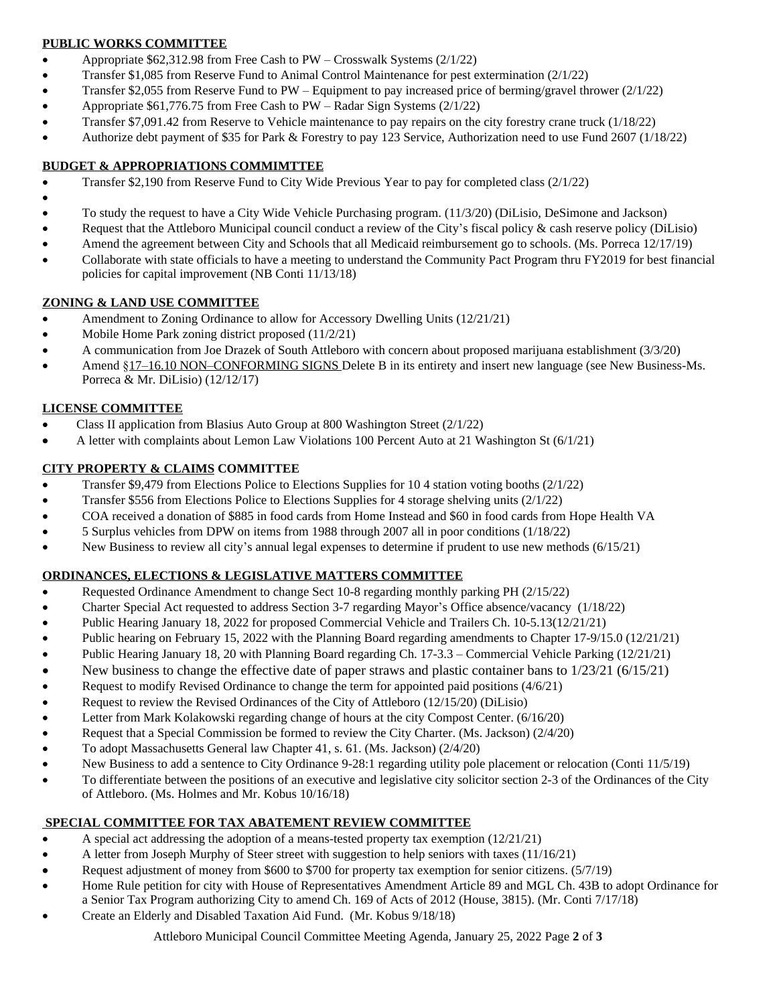## **PUBLIC WORKS COMMITTEE**

- Appropriate \$62,312.98 from Free Cash to PW Crosswalk Systems (2/1/22)
- Transfer \$1,085 from Reserve Fund to Animal Control Maintenance for pest extermination (2/1/22)
- Transfer \$2,055 from Reserve Fund to PW Equipment to pay increased price of berming/gravel thrower (2/1/22)
- Appropriate \$61,776.75 from Free Cash to PW Radar Sign Systems (2/1/22)
- Transfer \$7,091.42 from Reserve to Vehicle maintenance to pay repairs on the city forestry crane truck (1/18/22)
- Authorize debt payment of \$35 for Park & Forestry to pay 123 Service, Authorization need to use Fund 2607 (1/18/22)

### **BUDGET & APPROPRIATIONS COMMIMTTEE**

- Transfer \$2,190 from Reserve Fund to City Wide Previous Year to pay for completed class (2/1/22)
- $\bullet$ To study the request to have a City Wide Vehicle Purchasing program. (11/3/20) (DiLisio, DeSimone and Jackson)
- Request that the Attleboro Municipal council conduct a review of the City's fiscal policy & cash reserve policy (DiLisio)
- Amend the agreement between City and Schools that all Medicaid reimbursement go to schools. (Ms. Porreca 12/17/19)
- Collaborate with state officials to have a meeting to understand the Community Pact Program thru FY2019 for best financial policies for capital improvement (NB Conti 11/13/18)

### **ZONING & LAND USE COMMITTEE**

- Amendment to Zoning Ordinance to allow for Accessory Dwelling Units (12/21/21)
- Mobile Home Park zoning district proposed (11/2/21)
- A communication from Joe Drazek of South Attleboro with concern about proposed marijuana establishment (3/3/20)
- Amend §17–16.10 NON–CONFORMING SIGNS Delete B in its entirety and insert new language (see New Business-Ms. Porreca & Mr. DiLisio) (12/12/17)

### **LICENSE COMMITTEE**

- Class II application from Blasius Auto Group at 800 Washington Street (2/1/22)
- A letter with complaints about Lemon Law Violations 100 Percent Auto at 21 Washington St (6/1/21)

## **CITY PROPERTY & CLAIMS COMMITTEE**

- Transfer \$9,479 from Elections Police to Elections Supplies for 10 4 station voting booths (2/1/22)
- Transfer \$556 from Elections Police to Elections Supplies for 4 storage shelving units (2/1/22)
- COA received a donation of \$885 in food cards from Home Instead and \$60 in food cards from Hope Health VA
- 5 Surplus vehicles from DPW on items from 1988 through 2007 all in poor conditions (1/18/22)
- New Business to review all city's annual legal expenses to determine if prudent to use new methods (6/15/21)

## **ORDINANCES, ELECTIONS & LEGISLATIVE MATTERS COMMITTEE**

- Requested Ordinance Amendment to change Sect 10-8 regarding monthly parking PH (2/15/22)
- Charter Special Act requested to address Section 3-7 regarding Mayor's Office absence/vacancy (1/18/22)
- Public Hearing January 18, 2022 for proposed Commercial Vehicle and Trailers Ch. 10-5.13(12/21/21)
- Public hearing on February 15, 2022 with the Planning Board regarding amendments to Chapter 17-9/15.0 (12/21/21)
- Public Hearing January 18, 20 with Planning Board regarding Ch. 17-3.3 Commercial Vehicle Parking (12/21/21)
- New business to change the effective date of paper straws and plastic container bans to  $1/23/21$  (6/15/21)
- Request to modify Revised Ordinance to change the term for appointed paid positions (4/6/21)
- Request to review the Revised Ordinances of the City of Attleboro (12/15/20) (DiLisio)
- Letter from Mark Kolakowski regarding change of hours at the city Compost Center. (6/16/20)
- Request that a Special Commission be formed to review the City Charter. (Ms. Jackson) (2/4/20)
- To adopt Massachusetts General law Chapter 41, s. 61. (Ms. Jackson) (2/4/20)
- New Business to add a sentence to City Ordinance 9-28:1 regarding utility pole placement or relocation (Conti 11/5/19)
- To differentiate between the positions of an executive and legislative city solicitor section 2-3 of the Ordinances of the City of Attleboro. (Ms. Holmes and Mr. Kobus 10/16/18)

## **SPECIAL COMMITTEE FOR TAX ABATEMENT REVIEW COMMITTEE**

- A special act addressing the adoption of a means-tested property tax exemption  $(12/21/21)$
- A letter from Joseph Murphy of Steer street with suggestion to help seniors with taxes (11/16/21)
- Request adjustment of money from \$600 to \$700 for property tax exemption for senior citizens. (5/7/19)
- Home Rule petition for city with House of Representatives Amendment Article 89 and MGL Ch. 43B to adopt Ordinance for
- a Senior Tax Program authorizing City to amend Ch. 169 of Acts of 2012 (House, 3815). (Mr. Conti 7/17/18)
- Create an Elderly and Disabled Taxation Aid Fund. (Mr. Kobus 9/18/18)